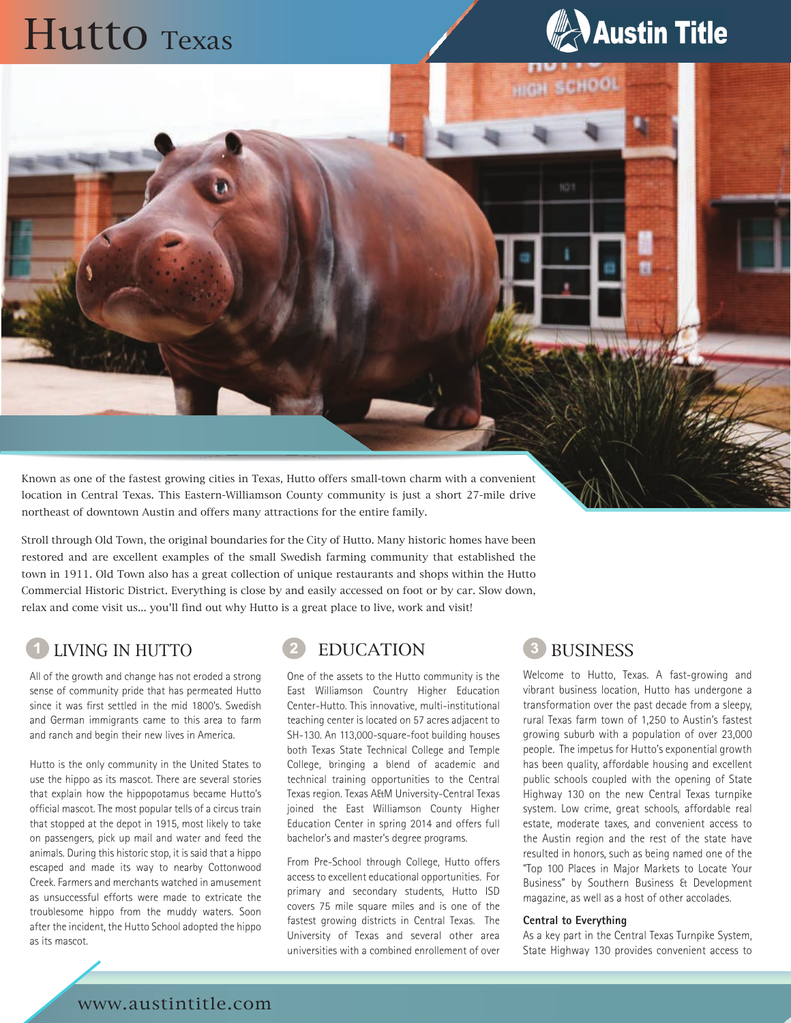# Hutto Texas



**HIGH SCHOOL** 

NO<sup>1</sup>

Known as one of the fastest growing cities in Texas, Hutto offers small-town charm with a convenient location in Central Texas. This Eastern-Williamson County community is just a short 27-mile drive northeast of downtown Austin and offers many attractions for the entire family.

Stroll through Old Town, the original boundaries for the City of Hutto. Many historic homes have been restored and are excellent examples of the small Swedish farming community that established the town in 1911. Old Town also has a great collection of unique restaurants and shops within the Hutto Commercial Historic District. Everything is close by and easily accessed on foot or by car. Slow down, relax and come visit us... you'll find out why Hutto is a great place to live, work and visit!

## LIVING IN HUTTO **EDUCATION 3** BUSINESS

All of the growth and change has not eroded a strong sense of community pride that has permeated Hutto since it was first settled in the mid 1800's. Swedish and German immigrants came to this area to farm and ranch and begin their new lives in America.

Hutto is the only community in the United States to use the hippo as its mascot. There are several stories that explain how the hippopotamus became Hutto's official mascot. The most popular tells of a circus train that stopped at the depot in 1915, most likely to take on passengers, pick up mail and water and feed the animals. During this historic stop, it is said that a hippo escaped and made its way to nearby Cottonwood Creek. Farmers and merchants watched in amusement as unsuccessful efforts were made to extricate the troublesome hippo from the muddy waters. Soon after the incident, the Hutto School adopted the hippo as its mascot.

One of the assets to the Hutto community is the East Williamson Country Higher Education Center-Hutto. This innovative, multi-institutional teaching center is located on 57 acres adjacent to SH-130. An 113,000-square-foot building houses both Texas State Technical College and Temple College, bringing a blend of academic and technical training opportunities to the Central Texas region. Texas A&M University-Central Texas joined the East Williamson County Higher Education Center in spring 2014 and offers full bachelor's and master's degree programs.

From Pre-School through College, Hutto offers access to excellent educational opportunities. For primary and secondary students, Hutto ISD covers 75 mile square miles and is one of the fastest growing districts in Central Texas. The University of Texas and several other area universities with a combined enrollement of over

Welcome to Hutto, Texas. A fast-growing and vibrant business location, Hutto has undergone a transformation over the past decade from a sleepy, rural Texas farm town of 1,250 to Austin's fastest growing suburb with a population of over 23,000 people. The impetus for Hutto's exponential growth has been quality, affordable housing and excellent public schools coupled with the opening of State Highway 130 on the new Central Texas turnpike system. Low crime, great schools, affordable real estate, moderate taxes, and convenient access to the Austin region and the rest of the state have resulted in honors, such as being named one of the "Top 100 Places in Major Markets to Locate Your Business" by Southern Business & Development magazine, as well as a host of other accolades.

### **Central to Everything**

As a key part in the Central Texas Turnpike System, State Highway 130 provides convenient access to